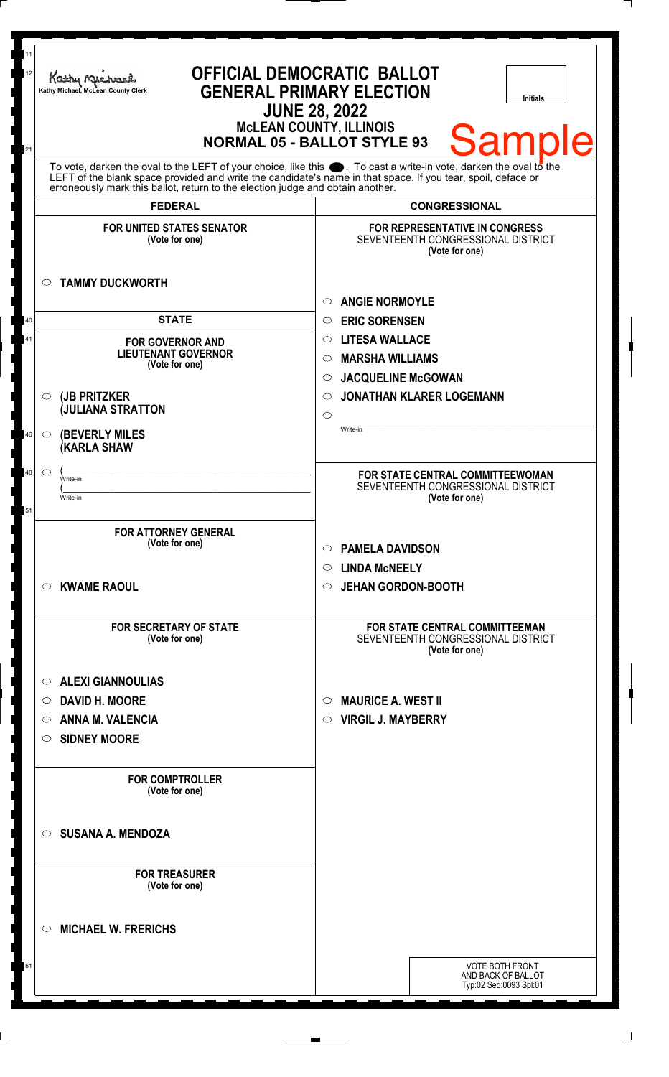| 11<br>12<br>21 | <b>OFFICIAL DEMOCRATIC BALLOT</b><br>Kathy Machare<br><b>GENERAL PRIMARY ELECTION</b><br>Kathy Michael, McLean County Clerk<br><b>Initials</b><br><b>JUNE 28, 2022</b><br><b>McLEAN COUNTY, ILLINOIS</b><br><b>Samp</b><br><b>NORMAL 05 - BALLOT STYLE 93</b>                                                          |                                                                                               |  |
|----------------|------------------------------------------------------------------------------------------------------------------------------------------------------------------------------------------------------------------------------------------------------------------------------------------------------------------------|-----------------------------------------------------------------------------------------------|--|
|                | To vote, darken the oval to the LEFT of your choice, like this $\bullet$ . To cast a write-in vote, darken the oval to the LEFT of the blank space provided and write the candidate's name in that space. If you tear, spoil, deface<br>erroneously mark this ballot, return to the election judge and obtain another. |                                                                                               |  |
|                | <b>FEDERAL</b>                                                                                                                                                                                                                                                                                                         | <b>CONGRESSIONAL</b>                                                                          |  |
|                | <b>FOR UNITED STATES SENATOR</b><br>(Vote for one)<br><b>TAMMY DUCKWORTH</b><br>O                                                                                                                                                                                                                                      | <b>FOR REPRESENTATIVE IN CONGRESS</b><br>SEVENTEENTH CONGRESSIONAL DISTRICT<br>(Vote for one) |  |
|                |                                                                                                                                                                                                                                                                                                                        | <b>ANGIE NORMOYLE</b><br>$\circ$                                                              |  |
| 40             | <b>STATE</b>                                                                                                                                                                                                                                                                                                           | <b>ERIC SORENSEN</b><br>$\circ$                                                               |  |
| 41             | <b>FOR GOVERNOR AND</b>                                                                                                                                                                                                                                                                                                | <b>LITESA WALLACE</b><br>$\circ$                                                              |  |
|                | <b>LIEUTENANT GOVERNOR</b><br>(Vote for one)                                                                                                                                                                                                                                                                           | <b>MARSHA WILLIAMS</b><br>$\circ$                                                             |  |
|                |                                                                                                                                                                                                                                                                                                                        | <b>JACQUELINE McGOWAN</b><br>$\circ$                                                          |  |
|                | (JB PRITZKER<br>$\circ$                                                                                                                                                                                                                                                                                                | <b>JONATHAN KLARER LOGEMANN</b><br>$\circ$                                                    |  |
|                | <b>JULIANA STRATTON</b>                                                                                                                                                                                                                                                                                                | $\circ$                                                                                       |  |
| 46             | <b>(BEVERLY MILES)</b><br>$\circ$<br><b>(KARLA SHAW</b>                                                                                                                                                                                                                                                                | Write-in                                                                                      |  |
| 48             | $\circ$<br>Write-in                                                                                                                                                                                                                                                                                                    | FOR STATE CENTRAL COMMITTEEWOMAN                                                              |  |
|                | Write-in                                                                                                                                                                                                                                                                                                               | SEVENTEENTH CONGRESSIONAL DISTRICT<br>(Vote for one)                                          |  |
| 51             |                                                                                                                                                                                                                                                                                                                        |                                                                                               |  |
|                | <b>FOR ATTORNEY GENERAL</b>                                                                                                                                                                                                                                                                                            |                                                                                               |  |
|                | (Vote for one)                                                                                                                                                                                                                                                                                                         | <b>PAMELA DAVIDSON</b><br>$\circ$                                                             |  |
|                |                                                                                                                                                                                                                                                                                                                        | $\circ$ LINDA McNEELY                                                                         |  |
|                | <b>KWAME RAOUL</b><br>O                                                                                                                                                                                                                                                                                                | ○ JEHAN GORDON-BOOTH                                                                          |  |
|                | <b>FOR SECRETARY OF STATE</b><br>(Vote for one)                                                                                                                                                                                                                                                                        | <b>FOR STATE CENTRAL COMMITTEEMAN</b><br>SEVENTEENTH CONGRESSIONAL DISTRICT<br>(Vote for one) |  |
|                | <b>ALEXI GIANNOULIAS</b><br>O                                                                                                                                                                                                                                                                                          |                                                                                               |  |
|                | <b>DAVID H. MOORE</b><br>O                                                                                                                                                                                                                                                                                             | <b>MAURICE A. WEST II</b><br>$\circ$                                                          |  |
|                | <b>ANNA M. VALENCIA</b><br>O                                                                                                                                                                                                                                                                                           | <b>VIRGIL J. MAYBERRY</b><br>$\circ$                                                          |  |
|                | <b>SIDNEY MOORE</b><br>O                                                                                                                                                                                                                                                                                               |                                                                                               |  |
|                | <b>FOR COMPTROLLER</b><br>(Vote for one)                                                                                                                                                                                                                                                                               |                                                                                               |  |
|                | <b>SUSANA A. MENDOZA</b><br>$\circ$                                                                                                                                                                                                                                                                                    |                                                                                               |  |
|                | <b>FOR TREASURER</b><br>(Vote for one)                                                                                                                                                                                                                                                                                 |                                                                                               |  |
|                | <b>MICHAEL W. FRERICHS</b><br>O                                                                                                                                                                                                                                                                                        |                                                                                               |  |
| 61             |                                                                                                                                                                                                                                                                                                                        | <b>VOTE BOTH FRONT</b>                                                                        |  |
|                |                                                                                                                                                                                                                                                                                                                        | AND BACK OF BALLOT<br>Typ:02 Seq:0093 Spl:01                                                  |  |
|                |                                                                                                                                                                                                                                                                                                                        |                                                                                               |  |